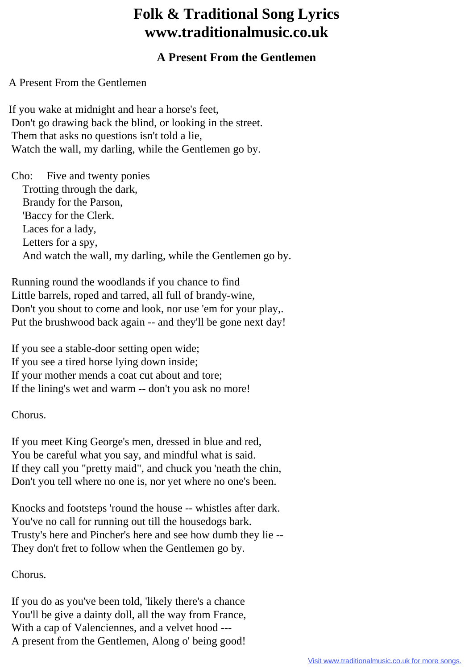## **Folk & Traditional Song Lyrics www.traditionalmusic.co.uk**

## **A Present From the Gentlemen**

A Present From the Gentlemen

If you wake at midnight and hear a horse's feet, Don't go drawing back the blind, or looking in the street. Them that asks no questions isn't told a lie, Watch the wall, my darling, while the Gentlemen go by.

 Cho: Five and twenty ponies Trotting through the dark, Brandy for the Parson, 'Baccy for the Clerk. Laces for a lady, Letters for a spy, And watch the wall, my darling, while the Gentlemen go by.

 Running round the woodlands if you chance to find Little barrels, roped and tarred, all full of brandy-wine, Don't you shout to come and look, nor use 'em for your play,. Put the brushwood back again -- and they'll be gone next day!

 If you see a stable-door setting open wide; If you see a tired horse lying down inside; If your mother mends a coat cut about and tore; If the lining's wet and warm -- don't you ask no more!

Chorus.

 If you meet King George's men, dressed in blue and red, You be careful what you say, and mindful what is said. If they call you "pretty maid", and chuck you 'neath the chin, Don't you tell where no one is, nor yet where no one's been.

 Knocks and footsteps 'round the house -- whistles after dark. You've no call for running out till the housedogs bark. Trusty's here and Pincher's here and see how dumb they lie -- They don't fret to follow when the Gentlemen go by.

Chorus.

 If you do as you've been told, 'likely there's a chance You'll be give a dainty doll, all the way from France, With a cap of Valenciennes, and a velvet hood --- A present from the Gentlemen, Along o' being good!